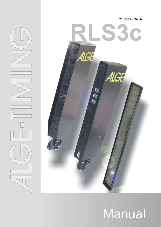

# Manual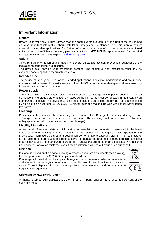

## **Important Information**

## **General**

Before using your ALGE-TIMING device read the complete manual carefully. It is part of the device and contains important information about installation, safety and its intended use. This manual cannot cover all conceivable applications. For further information or in case of problems that are mentioned not at all or not sufficiently detailed, please contact your **ALGE-TIMING** representative. You can find contact details on our homepage [www.alge-timing.com](http://www.alge-timing.com/)

## **Safety**

Apart from the information of this manual all general safety and accident prevention regulations of the legislator must be taken into account.

The device must only be used by trained persons. The setting-up and installation must only be executed according to the manufacturer's data.

#### **Intended Use**

The device must only be used for its intended applications. Technical modifications and any misuse are prohibited because of the risks involved! ALGE-TIMING is not liable for damages that are caused by improper use or incorrect operation.

#### **Power supply**

The stated voltage on the type plate must correspond to voltage of the power source. Check all connections and plugs before usage. Damaged connection wires must be replaced immediately by an authorized electrician. The device must only be connected to an electric supply that has been installed by an electrician according to IEC 60364-1. Never touch the mains plug with wet hands! Never touch live parts!

## **Cleaning**

Please clean the outside of the device only with a smooth cloth. Detergents can cause damage. Never submerge in water, never open or clean with wet cloth. The cleaning must not be carried out by hose or high-pressure (risk of short circuits or other damage).

#### **Liability Limitations**

All technical information, data and information for installation and operation correspond to the latest status at time of printing and are made in all conscience considering our past experience and knowledge. Information, pictures and description do not entitle to base any claims. The manufacturer is not liable for damage due to failure to observe the manual, improper use, incorrect repairs, technical modifications, use of unauthorized spare parts. Translations are made in all conscience. We assume no liability for translation mistakes, even if the translation is carried out by us or on our behalf.

#### **Disposal**

If a label is placed on the device showing a crossed-out dustbin on wheels (see drawing), the European directive 2002/96/EG applies for this device.

Please get informed about the applicable regulations for separate collection of electrical and electronic waste in your country and do not dispose of the old devices as household waste. Correct disposal of old equipment protects the environment and humans against negative consequences!



#### **Copyright by** ALGE-TIMING **GmbH**

All rights reserved. Any duplication, either in full or in part, requires the prior written consent of the copyright holder.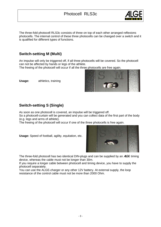

The three-fold photocell RLS3c consists of three on top of each other arranged reflexions photocells. The internal control of these three photocells can be changed over a switch and it is qualified for different types of functions.

## **Switch-setting M (Multi)**

An impulse will only be triggered off, if all three photocells will be covered. So the photocell can not be affected by hands or legs of the athlete.

The freeing of the photocell will occur if all the three photocells are free again.

**Usage:** athletics, training



## **Switch-setting S (Single)**

As soon as one photocell is covered, an impulse will be triggered off.

So a photocell-curtain will be generated and you can collect data of the first part of the body (e.g. legs and arms of athlete).

The freeing of the photocell will occur if one of the three photocells is free again.

**Usage:** Speed of football, agility, equitation, etc.



The three-fold photocell has two identical DIN-plugs and can be supplied by an ALGE timing device, whereas the cable must not be longer than 30m.

If you require a longer cable between photocell and timing device, you have to supply the photocell separately.

You can use the ALGE-charger or any other 12V battery. At external supply, the loop resistance of the control cable must not be more than 2000 Ohm.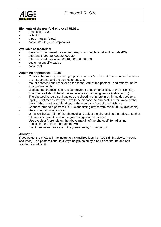

## **Elements of the tree-fold photocell RLS3c:**

- photocell RLS3c
- reflector
- tripod TRI128 (2 pc.)
- cable 001-30 (30 m stop-cable)

## **Available accessories:**

- case with foam-insert for secure transport of the photocell incl. tripods (K3)
- start-cable 002-10, 002-20, 002-30
- intermediate-time-cable 003-10, 003-20, 003-30
- customer specific cables
- cable-reel

## **Adjusting of photocell RLS3c:**

- Check if the switch is on the right position  $S$  or M. The switch is mounted between the instruments and the connector sockets
- Mount photocell and reflector on the tripod. Adjust the photocell and reflector at the appropriate height.
- Dispose the photocell and reflector adverse of each other (e.g. at the finish line). The photocell should be at the same side as the timing device (cable length).
- The photocell should not handicap the shooting of photofinish timing devices (e.g. OptiC). That means that you have to be dispose the photocell 1 or 2m away of the track. If this is not possible, dispose them curtly in front of the finish line.
- Connect three-fold photocell RLS3c and timing device with cable 001-xx (red cable).
- Switch-on the timing device.
- Unfasten the ball joint of the photocell and adjust the photocell to the reflector so that all three instruments are in the green range on the reverse. Use the visor (borehole on the above margin of the photocell) for adjusting.
- Focus on the reflector through the visor.
- If all three instruments are in the green range, fix the ball joint.

## *Attention:*

If you adjust the photocell, the instrument signalizes it on the ALGE timing device (needle oscillates). The photocell should always be protected by a barrier so that no one can accidentally adjust it.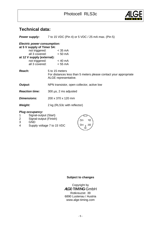

## **Technical data:**

**Power supply:** 7 to 15 VDC (Pin 4) or 5 VDC / 25 mA max. (Pin 5)

| <b>Electric power consumption:</b><br>at 5 V supply of Timer S4: |           |
|------------------------------------------------------------------|-----------|
| not triggered:                                                   | $<$ 35 mA |
| all 3 covered:                                                   | $< 50$ mA |
| at 12 V supply (external):                                       |           |
| not triggered:                                                   | $< 40$ mA |
| all 3 covered:                                                   | $< 55$ mA |

**Reach:** 5 to 15 meters For distances less than 5 meters please contact your appropriate ALGE representative.

**Output:** NPN transistor, open collector, active low

- *Reaction time:* 300 µs, 2 ms adjusted
- *Dimensions:* 200 x 370 x 120 mm

**Weight:** 2 kg (RLS3c with reflector)

## *Plug occupancy:*

- 1 Signal-output (Start)<br>2 Signal-output (Finish
- 2 Signal-output (Finish)<br>3 GND
- 3 GND<br>4 Supp
- Supply voltage 7 to 15 VDC



## **Subject to changes**

Copyright by ALGE-TIMING GmbH Rotkreuzstr. 39 6890 Lustenau / Austria

www.alge-timing.com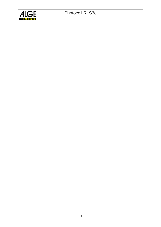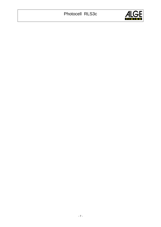## Photocell RLS3c